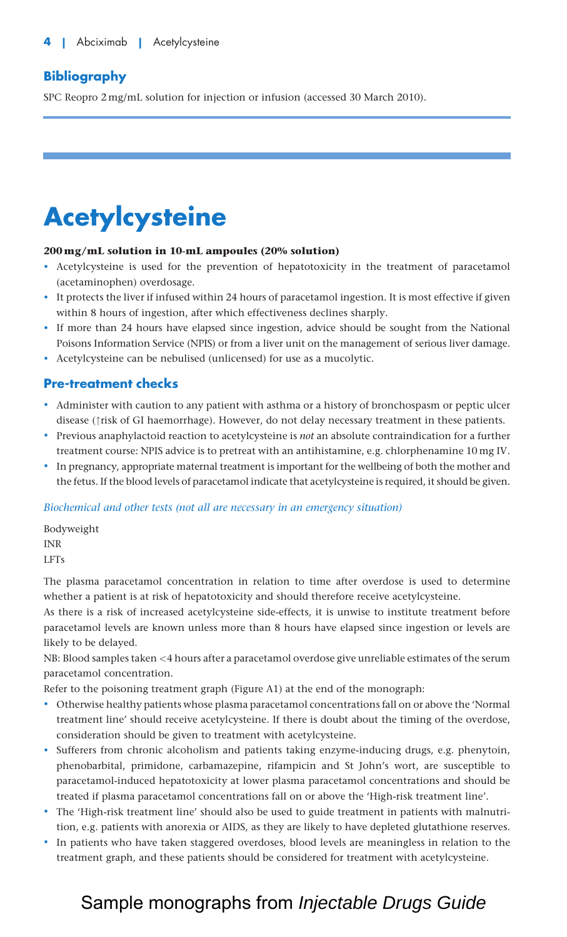### **Bibliography**

SPC Reopro 2 mg/mL solution for injection or infusion (accessed 30 March 2010).

# **Acetylcysteine**

#### 200mg/mL solution in 10-mL ampoules (20% solution)

- \* Acetylcysteine is used for the prevention of hepatotoxicity in the treatment of paracetamol (acetaminophen) overdosage.
- \* It protects the liver if infused within 24 hours of paracetamol ingestion. It is most effective if given within 8 hours of ingestion, after which effectiveness declines sharply.
- \* If more than 24 hours have elapsed since ingestion, advice should be sought from the National Poisons Information Service (NPIS) or from a liver unit on the management of serious liver damage.
- \* Acetylcysteine can be nebulised (unlicensed) for use as a mucolytic.

### Pre-treatment checks

- \* Administer with caution to any patient with asthma or a history of bronchospasm or peptic ulcer disease ( $\gamma$ risk of GI haemorrhage). However, do not delay necessary treatment in these patients.
- \* Previous anaphylactoid reaction to acetylcysteine is not an absolute contraindication for a further treatment course: NPIS advice is to pretreat with an antihistamine, e.g. chlorphenamine 10 mg IV.
- \* In pregnancy, appropriate maternal treatment is important for the wellbeing of both the mother and the fetus. If the blood levels of paracetamol indicate that acetylcysteine is required, it should be given.

#### Biochemical and other tests (not all are necessary in an emergency situation)

Bodyweight INR LFTs

The plasma paracetamol concentration in relation to time after overdose is used to determine whether a patient is at risk of hepatotoxicity and should therefore receive acetylcysteine.

As there is a risk of increased acetylcysteine side-effects, it is unwise to institute treatment before paracetamol levels are known unless more than 8 hours have elapsed since ingestion or levels are likely to be delayed.

NB: Blood samples taken <4 hours after a paracetamol overdose give unreliable estimates of the serum paracetamol concentration.

Refer to the poisoning treatment graph (Figure A1) at the end of the monograph:

- \* Otherwise healthy patients whose plasma paracetamol concentrations fall on or above the 'Normal treatment line' should receive acetylcysteine. If there is doubt about the timing of the overdose, consideration should be given to treatment with acetylcysteine.
- Sufferers from chronic alcoholism and patients taking enzyme-inducing drugs, e.g. phenytoin, phenobarbital, primidone, carbamazepine, rifampicin and St John's wort, are susceptible to paracetamol-induced hepatotoxicity at lower plasma paracetamol concentrations and should be treated if plasma paracetamol concentrations fall on or above the 'High-risk treatment line'.
- \* The 'High-risk treatment line' should also be used to guide treatment in patients with malnutrition, e.g. patients with anorexia or AIDS, as they are likely to have depleted glutathione reserves.
- \* In patients who have taken staggered overdoses, blood levels are meaningless in relation to the treatment graph, and these patients should be considered for treatment with acetylcysteine.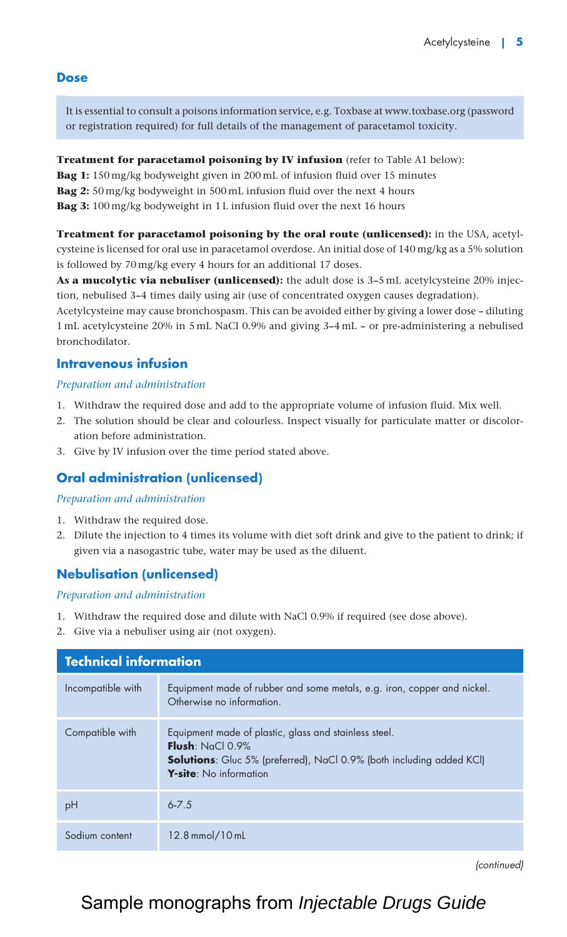### Dose

It is essential to consult a poisons information service, e.g. Toxbase at www.toxbase.org (password or registration required) for full details of the management of paracetamol toxicity.

Treatment for paracetamol poisoning by IV infusion (refer to Table A1 below):

Bag 1: 150 mg/kg bodyweight given in 200 mL of infusion fluid over 15 minutes

Bag 2: 50 mg/kg bodyweight in 500 mL infusion fluid over the next 4 hours

Bag 3: 100 mg/kg bodyweight in 1 L infusion fluid over the next 16 hours

Treatment for paracetamol poisoning by the oral route (unlicensed): in the USA, acetylcysteine is licensed for oral use in paracetamol overdose. An initial dose of 140 mg/kg as a 5% solution is followed by 70 mg/kg every 4 hours for an additional 17 doses.

As a mucolytic via nebuliser (unlicensed): the adult dose is 3-5 mL acetylcysteine 20% injection, nebulised 3-4 times daily using air (use of concentrated oxygen causes degradation).

Acetylcysteine may cause bronchospasm. This can be avoided either by giving a lower dose -- diluting 1 mL acetylcysteine 20% in 5 mL NaCl 0.9% and giving 3-4 mL - or pre-administering a nebulised bronchodilator.

### Intravenous infusion

### Preparation and administration

- 1. Withdraw the required dose and add to the appropriate volume of infusion fluid. Mix well.
- 2. The solution should be clear and colourless. Inspect visually for particulate matter or discoloration before administration.
- 3. Give by IV infusion over the time period stated above.

### Oral administration (unlicensed)

### Preparation and administration

- 1. Withdraw the required dose.
- 2. Dilute the injection to 4 times its volume with diet soft drink and give to the patient to drink; if given via a nasogastric tube, water may be used as the diluent.

### Nebulisation (unlicensed)

Preparation and administration

- 1. Withdraw the required dose and dilute with NaCl 0.9% if required (see dose above).
- 2. Give via a nebuliser using air (not oxygen).

|                   | <b>Technical information</b>                                                                                                                                                                 |  |  |  |  |
|-------------------|----------------------------------------------------------------------------------------------------------------------------------------------------------------------------------------------|--|--|--|--|
| Incompatible with | Equipment made of rubber and some metals, e.g. iron, copper and nickel.<br>Otherwise no information.                                                                                         |  |  |  |  |
| Compatible with   | Equipment made of plastic, glass and stainless steel.<br><b>Flush</b> : $NaCl$ 0.9%<br><b>Solutions:</b> Gluc 5% (preferred), NaCl 0.9% (both including added KCl)<br>Y-site: No information |  |  |  |  |
| рH                | $6 - 7.5$                                                                                                                                                                                    |  |  |  |  |
| Sodium content    | 12.8 mmol/10 mL                                                                                                                                                                              |  |  |  |  |

(continued)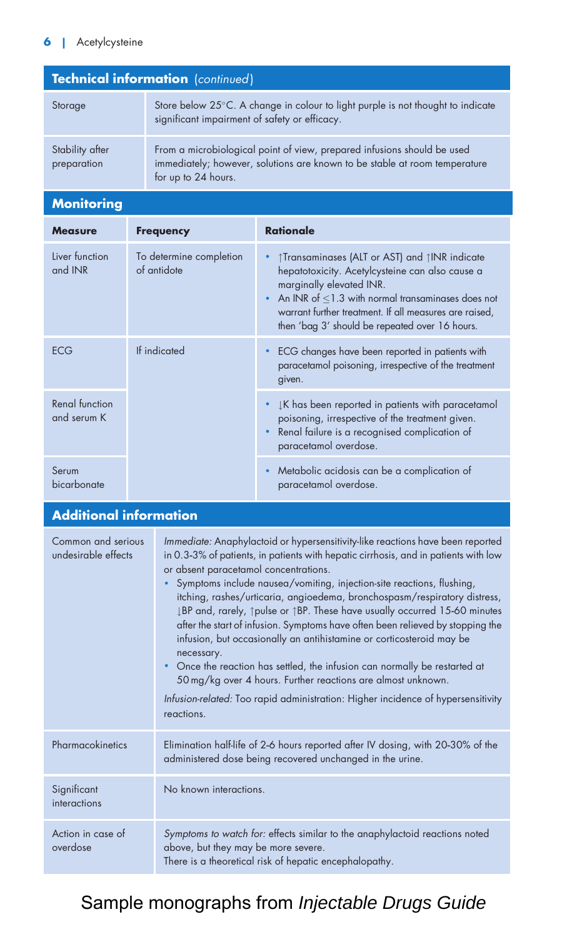### **6** | Acetylcysteine

| Technical information (continued) |                                                                                                                                                                              |  |  |  |
|-----------------------------------|------------------------------------------------------------------------------------------------------------------------------------------------------------------------------|--|--|--|
| Storage                           | Store below 25°C. A change in colour to light purple is not thought to indicate<br>significant impairment of safety or efficacy.                                             |  |  |  |
| Stability after<br>preparation    | From a microbiological point of view, prepared infusions should be used<br>immediately; however, solutions are known to be stable at room temperature<br>for up to 24 hours. |  |  |  |

### **Monitoring**

| <b>Measure</b>                | <b>Frequency</b>                       | <b>Rationale</b>                                                                                                                                                                                                                                                                                 |
|-------------------------------|----------------------------------------|--------------------------------------------------------------------------------------------------------------------------------------------------------------------------------------------------------------------------------------------------------------------------------------------------|
| Liver function<br>and INR     | To determine completion<br>of antidote | • 1 Transaminases (ALT or AST) and 1 NR indicate<br>hepatotoxicity. Acetylcysteine can also cause a<br>marginally elevated INR.<br>An INR of <1.3 with normal transaminases does not<br>warrant further treatment. If all measures are raised,<br>then 'bag 3' should be repeated over 16 hours. |
| <b>ECG</b>                    | If indicated                           | ECG changes have been reported in patients with<br>paracetamol poisoning, irrespective of the treatment<br>given.                                                                                                                                                                                |
| Renal function<br>and serum K |                                        | • IK has been reported in patients with paracetamol<br>poisoning, irrespective of the treatment given.<br>Renal failure is a recognised complication of<br>paracetamol overdose.                                                                                                                 |
| Serum<br>bicarbonate          |                                        | Metabolic acidosis can be a complication of<br>$\bullet$<br>paracetamol overdose.                                                                                                                                                                                                                |

| <b>Additional information</b>             |                                                                                                                                                                                                                                                                                                                                                                                                                                                                                                                                                                                                                                                                                                                                                                                                                                                                                |
|-------------------------------------------|--------------------------------------------------------------------------------------------------------------------------------------------------------------------------------------------------------------------------------------------------------------------------------------------------------------------------------------------------------------------------------------------------------------------------------------------------------------------------------------------------------------------------------------------------------------------------------------------------------------------------------------------------------------------------------------------------------------------------------------------------------------------------------------------------------------------------------------------------------------------------------|
| Common and serious<br>undesirable effects | Immediate: Anaphylactoid or hypersensitivity-like reactions have been reported<br>in 0.3-3% of patients, in patients with hepatic cirrhosis, and in patients with low<br>or absent paracetamol concentrations.<br>Symptoms include nausea/vomiting, injection-site reactions, flushing,<br>٠<br>itching, rashes/urticaria, angioedema, bronchospasm/respiratory distress,<br>⊥BP and, rarely, 1pulse or 1BP. These have usually occurred 15-60 minutes<br>after the start of infusion. Symptoms have often been relieved by stopping the<br>infusion, but occasionally an antihistamine or corticosteroid may be<br>necessary.<br>• Once the reaction has settled, the infusion can normally be restarted at<br>50 mg/kg over 4 hours. Further reactions are almost unknown.<br>Infusion-related: Too rapid administration: Higher incidence of hypersensitivity<br>reactions. |
| Pharmacokinetics                          | Elimination half-life of 2-6 hours reported after IV dosing, with 20-30% of the<br>administered dose being recovered unchanged in the urine.                                                                                                                                                                                                                                                                                                                                                                                                                                                                                                                                                                                                                                                                                                                                   |
| Significant<br>interactions               | No known interactions.                                                                                                                                                                                                                                                                                                                                                                                                                                                                                                                                                                                                                                                                                                                                                                                                                                                         |
| Action in case of<br>overdose             | Symptoms to watch for: effects similar to the anaphylactoid reactions noted<br>above, but they may be more severe.<br>There is a theoretical risk of hepatic encephalopathy.                                                                                                                                                                                                                                                                                                                                                                                                                                                                                                                                                                                                                                                                                                   |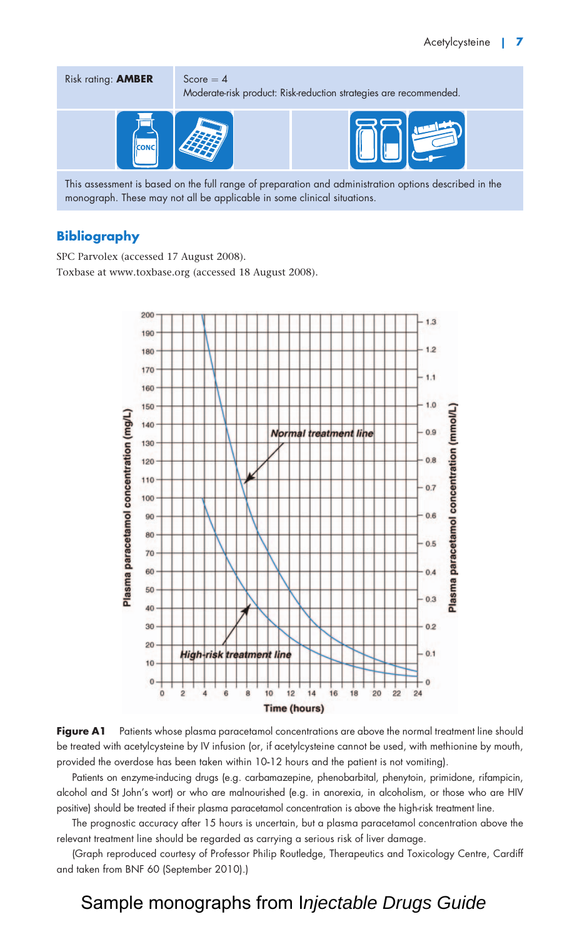

This assessment is based on the full range of preparation and administration options described in the monograph. These may not all be applicable in some clinical situations.

### **Bibliography**

SPC Parvolex (accessed 17 August 2008). Toxbase at www.toxbase.org (accessed 18 August 2008).





Patients on enzyme-inducing drugs (e.g. carbamazepine, phenobarbital, phenytoin, primidone, rifampicin, alcohol and St John's wort) or who are malnourished (e.g. in anorexia, in alcoholism, or those who are HIV positive) should be treated if their plasma paracetamol concentration is above the high-risk treatment line.

The prognostic accuracy after 15 hours is uncertain, but a plasma paracetamol concentration above the relevant treatment line should be regarded as carrying a serious risk of liver damage.

(Graph reproduced courtesy of Professor Philip Routledge, Therapeutics and Toxicology Centre, Cardiff and taken from BNF 60 (September 2010).)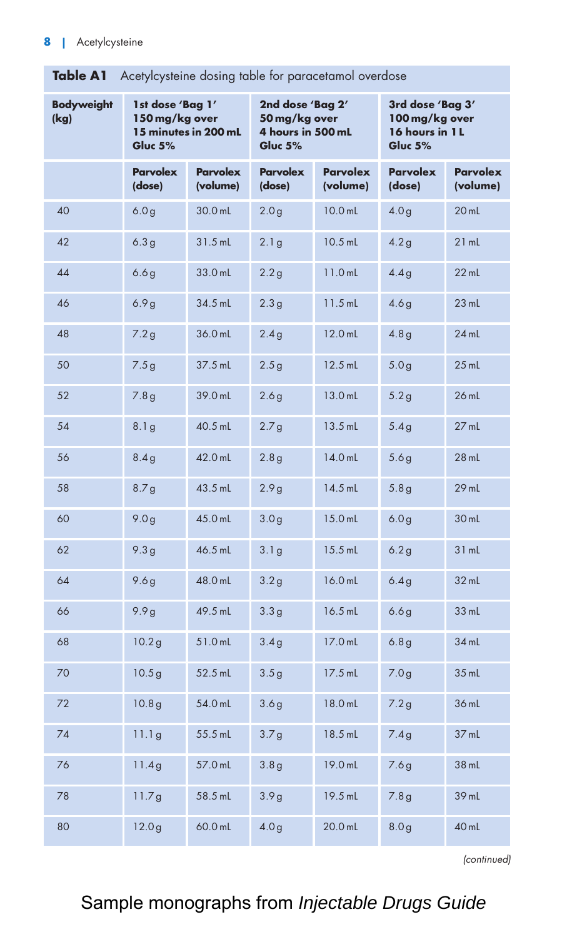| <b>Bodyweight</b><br>(kg) | 1st dose 'Bag 1'<br>150 mg/kg over<br>15 minutes in 200 mL<br>Gluc 5% |                             | 2nd dose 'Bag 2'<br>50 mg/kg over<br>4 hours in 500 mL<br>Gluc 5% |                             | 3rd dose 'Bag 3'<br>100 mg/kg over<br>16 hours in 1L<br>Gluc $5%$ |                             |  |
|---------------------------|-----------------------------------------------------------------------|-----------------------------|-------------------------------------------------------------------|-----------------------------|-------------------------------------------------------------------|-----------------------------|--|
|                           | <b>Parvolex</b><br>(dose)                                             | <b>Parvolex</b><br>(volume) | <b>Parvolex</b><br>(dose)                                         | <b>Parvolex</b><br>(volume) | <b>Parvolex</b><br>(dose)                                         | <b>Parvolex</b><br>(volume) |  |
| 40                        | 6.0g                                                                  | 30.0 mL                     | 2.0 <sub>g</sub>                                                  | $10.0$ mL                   | 4.0 <sub>g</sub>                                                  | $20$ mL                     |  |
| 42                        | 6.3 <sub>g</sub>                                                      | $31.5$ mL                   | 2.1 <sub>g</sub>                                                  | $10.5$ mL                   | 4.2 <sub>g</sub>                                                  | 21 mL                       |  |
| 44                        | 6.6g                                                                  | 33.0 mL                     | 2.2g                                                              | $11.0$ mL                   | 4.4g                                                              | $22$ mL                     |  |
| 46                        | 6.9g                                                                  | 34.5 mL                     | 2.3 <sub>g</sub>                                                  | $11.5$ mL                   | 4.6g                                                              | $23$ mL                     |  |
| 48                        | 7.2g                                                                  | 36.0 mL                     | 2.4g                                                              | 12.0 mL                     | 4.8 <sub>g</sub>                                                  | $24$ mL                     |  |
| 50                        | 7.5g                                                                  | 37.5 mL                     | 2.5g                                                              | $12.5$ mL                   | 5.0 <sub>g</sub>                                                  | $25$ mL                     |  |
| 52                        | 7.8g                                                                  | 39.0 mL                     | 2.6 <sub>g</sub>                                                  | 13.0 mL                     | 5.2 <sub>g</sub>                                                  | 26 mL                       |  |
| 54                        | 8.1g                                                                  | 40.5 mL                     | 2.7 <sub>g</sub>                                                  | 13.5 mL                     | 5.4g                                                              | $27$ mL                     |  |
| 56                        | 8.4g                                                                  | 42.0 mL                     | 2.8 <sub>g</sub>                                                  | 14.0 mL                     | 5.6 <sub>g</sub>                                                  | 28 mL                       |  |
| 58                        | 8.7 <sub>g</sub>                                                      | 43.5 mL                     | 2.9 <sub>g</sub>                                                  | $14.5$ mL                   | 5.8 <sub>g</sub>                                                  | $29$ mL                     |  |
| 60                        | 9.0g                                                                  | 45.0 mL                     | 3.0 <sub>g</sub>                                                  | 15.0 mL                     | 6.0g                                                              | $30$ mL                     |  |
| 62                        | 9.3 <sub>g</sub>                                                      | 46.5 mL                     | 3.1 <sub>g</sub>                                                  | $15.5$ mL                   | 6.2 <sub>g</sub>                                                  | 31 mL                       |  |
| 64                        | 9.6g                                                                  | 48.0 mL                     | 3.2 <sub>g</sub>                                                  | 16.0 mL                     | 6.4g                                                              | $32$ mL                     |  |
| 66                        | 9.9g                                                                  | 49.5 mL                     | 3.3 <sub>g</sub>                                                  | 16.5 mL                     | 6.6g                                                              | 33 mL                       |  |
| 68                        | 10.2 <sub>g</sub>                                                     | 51.0 mL                     | 3.4g                                                              | $17.0$ mL                   | 6.8g                                                              | $34$ mL                     |  |
| 70                        | 10.5 <sub>g</sub>                                                     | 52.5 mL                     | 3.5 <sub>g</sub>                                                  | 17.5 mL                     | 7.0 <sub>g</sub>                                                  | $35$ mL                     |  |
| 72                        | 10.8 <sub>g</sub>                                                     | 54.0 mL                     | 3.6g                                                              | 18.0 mL                     | 7.2g                                                              | 36 mL                       |  |
| 74                        | 11.1g                                                                 | 55.5 mL                     | 3.7 <sub>g</sub>                                                  | 18.5 mL                     | 7.4g                                                              | 37 mL                       |  |
| 76                        | 11.4g                                                                 | 57.0 mL                     | 3.8g                                                              | 19.0 mL                     | 7.6g                                                              | 38 mL                       |  |
| 78                        | 11.7g                                                                 | 58.5 mL                     | 3.9g                                                              | 19.5 mL                     | 7.8g                                                              | 39 mL                       |  |
| 80                        | 12.0 <sub>g</sub>                                                     | 60.0 mL                     | 4.0 <sub>g</sub>                                                  | 20.0 mL                     | 8.0 <sub>g</sub>                                                  | 40 mL                       |  |

| Table A1 |  |  |  |  |  | Acetylcysteine dosing table for paracetamol overdose |  |
|----------|--|--|--|--|--|------------------------------------------------------|--|
|----------|--|--|--|--|--|------------------------------------------------------|--|

(continued)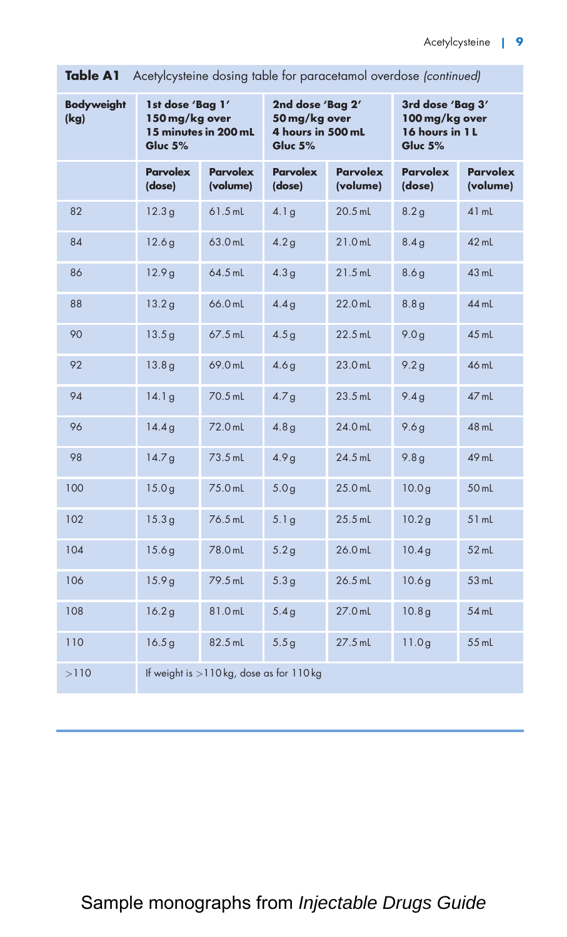| <b>Bodyweight</b><br>(kg) | 1st dose 'Bag 1'<br>150 mg/kg over<br>15 minutes in 200 mL<br>Gluc 5% |                             | 2nd dose 'Bag 2'<br>50 mg/kg over<br>4 hours in 500 mL<br>Gluc 5% |                             | 3rd dose 'Bag 3'<br>100 mg/kg over<br>16 hours in 1L<br>Gluc 5% |                             |
|---------------------------|-----------------------------------------------------------------------|-----------------------------|-------------------------------------------------------------------|-----------------------------|-----------------------------------------------------------------|-----------------------------|
|                           | <b>Parvolex</b><br>(dose)                                             | <b>Parvolex</b><br>(volume) | <b>Parvolex</b><br>(dose)                                         | <b>Parvolex</b><br>(volume) | <b>Parvolex</b><br>(dose)                                       | <b>Parvolex</b><br>(volume) |
| 82                        | 12.3g                                                                 | $61.5$ mL                   | 4.1g                                                              | $20.5$ mL                   | 8.2 <sub>g</sub>                                                | $41$ mL                     |
| 84                        | 12.6g                                                                 | 63.0 mL                     | 4.2 <sub>g</sub>                                                  | $21.0$ mL                   | 8.4g                                                            | 42 mL                       |
| 86                        | 12.9g                                                                 | 64.5 mL                     | 4.3 <sub>g</sub>                                                  | $21.5$ mL                   | 8.6g                                                            | 43 mL                       |
| 88                        | 13.2g                                                                 | 66.0 mL                     | 4.4g                                                              | $22.0$ mL                   | 8.8 <sub>g</sub>                                                | 44 mL                       |
| 90                        | 13.5g                                                                 | 67.5 mL                     | 4.5 <sub>g</sub>                                                  | 22.5 mL                     | 9.0 <sub>g</sub>                                                | 45 mL                       |
| 92                        | 13.8 <sub>g</sub>                                                     | 69.0 mL                     | 4.6g                                                              | 23.0 mL                     | 9.2 <sub>g</sub>                                                | 46 mL                       |
| 94                        | 14.1 <sub>g</sub>                                                     | 70.5 mL                     | 4.7 <sub>g</sub>                                                  | $23.5$ mL                   | 9.4g                                                            | 47 mL                       |
| 96                        | 14.4g                                                                 | 72.0 mL                     | 4.8 <sub>g</sub>                                                  | 24.0 mL                     | 9.6g                                                            | 48 mL                       |
| 98                        | 14.7 <sub>g</sub>                                                     | 73.5 mL                     | 4.9g                                                              | 24.5 mL                     | 9.8g                                                            | 49 mL                       |
| 100                       | 15.0 <sub>g</sub>                                                     | 75.0 mL                     | 5.0 <sub>g</sub>                                                  | 25.0 mL                     | 10.0 <sub>g</sub>                                               | 50 mL                       |
| 102                       | 15.3 <sub>g</sub>                                                     | 76.5 mL                     | 5.1 <sub>g</sub>                                                  | 25.5 mL                     | 10.2 <sub>g</sub>                                               | $51$ mL                     |
| 104                       | 15.6g                                                                 | 78.0 mL                     | 5.2 <sub>g</sub>                                                  | 26.0 mL                     | 10.4g                                                           | 52 mL                       |
| 106                       | 15.9g                                                                 | 79.5 mL                     | 5.3 <sub>g</sub>                                                  | 26.5 mL                     | 10.6 <sub>g</sub>                                               | 53 mL                       |
| 108                       | 16.2 <sub>g</sub>                                                     | 81.0 mL                     | 5.4g                                                              | 27.0 mL                     | 10.8 <sub>g</sub>                                               | 54 mL                       |
| 110                       | 16.5 <sub>g</sub>                                                     | 82.5 mL                     | 5.5 <sub>g</sub>                                                  | $27.5$ mL                   | 11.0 <sub>g</sub>                                               | 55 mL                       |
| >110                      | If weight is $>110$ kg, dose as for $110$ kg                          |                             |                                                                   |                             |                                                                 |                             |

Table A1 Acetylcysteine dosing table for paracetamol overdose (continued)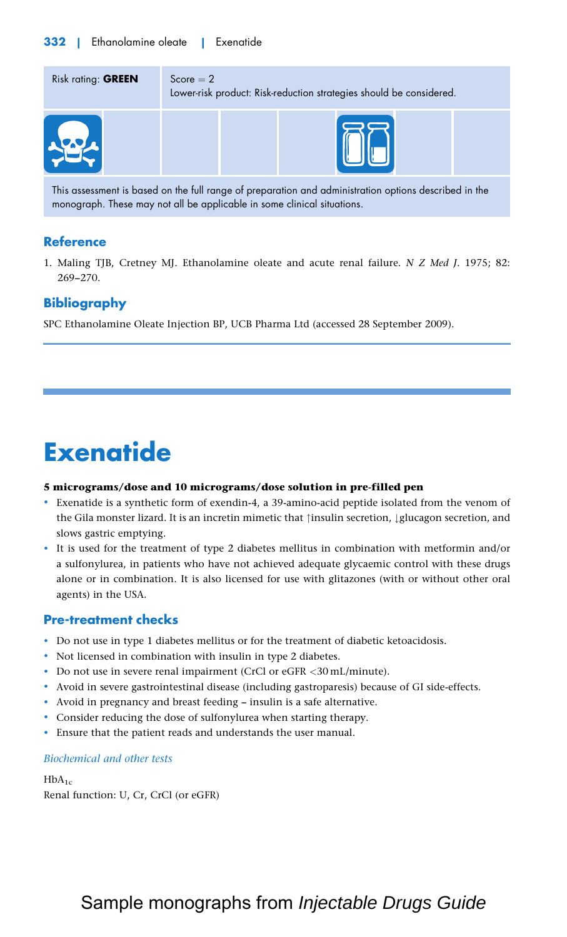| Risk rating: GREEN | $Score = 2$ | Lower-risk product: Risk-reduction strategies should be considered. |
|--------------------|-------------|---------------------------------------------------------------------|
|                    |             |                                                                     |

This assessment is based on the full range of preparation and administration options described in the monograph. These may not all be applicable in some clinical situations.

### **Reference**

1. Maling TJB, Cretney MJ. Ethanolamine oleate and acute renal failure. N Z Med J. 1975; 82: 269-270.

### Bibliography

SPC Ethanolamine Oleate Injection BP, UCB Pharma Ltd (accessed 28 September 2009).

# **Exenatide**

#### 5 micrograms/dose and 10 micrograms/dose solution in pre-filled pen

- \* Exenatide is a synthetic form of exendin-4, a 39-amino-acid peptide isolated from the venom of the Gila monster lizard. It is an incretin mimetic that  $\hat{\theta}$  insulin secretion,  $\hat{\theta}$  glucagon secretion, and slows gastric emptying.
- \* It is used for the treatment of type 2 diabetes mellitus in combination with metformin and/or a sulfonylurea, in patients who have not achieved adequate glycaemic control with these drugs alone or in combination. It is also licensed for use with glitazones (with or without other oral agents) in the USA.

### Pre-treatment checks

- \* Do not use in type 1 diabetes mellitus or for the treatment of diabetic ketoacidosis.
- \* Not licensed in combination with insulin in type 2 diabetes.
- \* Do not use in severe renal impairment (CrCl or eGFR <30 mL/minute).
- \* Avoid in severe gastrointestinal disease (including gastroparesis) because of GI side-effects.
- \* Avoid in pregnancy and breast feeding insulin is a safe alternative.
- Consider reducing the dose of sulfonylurea when starting therapy.
- \* Ensure that the patient reads and understands the user manual.

#### Biochemical and other tests

 $HbA<sub>1c</sub>$ Renal function: U, Cr, CrCl (or eGFR)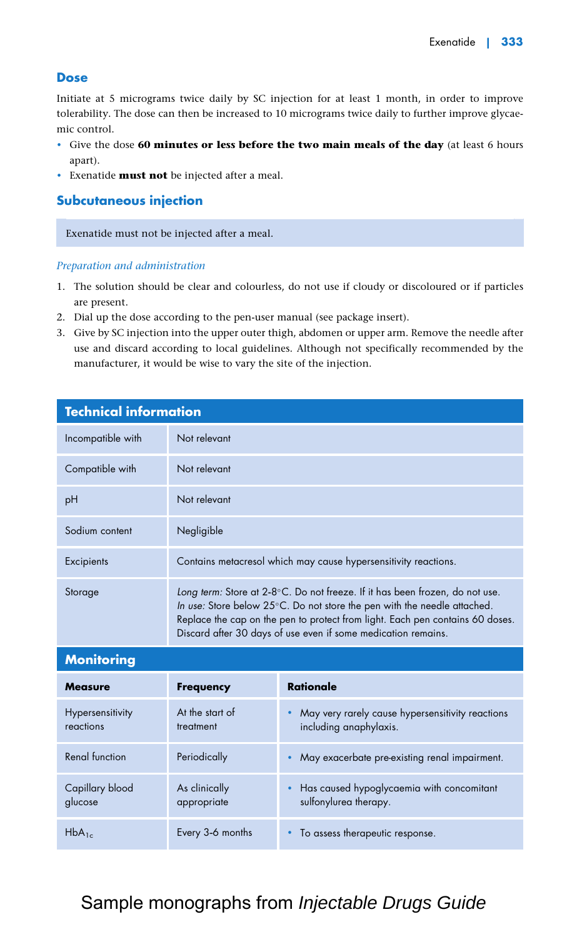### Dose

Initiate at 5 micrograms twice daily by SC injection for at least 1 month, in order to improve tolerability. The dose can then be increased to 10 micrograms twice daily to further improve glycaemic control.

- \* Give the dose 60 minutes or less before the two main meals of the day (at least 6 hours apart).
- \* Exenatide must not be injected after a meal.

### Subcutaneous injection

Exenatide must not be injected after a meal.

#### Preparation and administration

- 1. The solution should be clear and colourless, do not use if cloudy or discoloured or if particles are present.
- 2. Dial up the dose according to the pen-user manual (see package insert).
- 3. Give by SC injection into the upper outer thigh, abdomen or upper arm. Remove the needle after use and discard according to local guidelines. Although not specifically recommended by the manufacturer, it would be wise to vary the site of the injection.

| <b>Technical information</b>  |                                                                                                                                                                                                                                                                                                            |                                                                                 |  |  |  |
|-------------------------------|------------------------------------------------------------------------------------------------------------------------------------------------------------------------------------------------------------------------------------------------------------------------------------------------------------|---------------------------------------------------------------------------------|--|--|--|
| Incompatible with             | Not relevant                                                                                                                                                                                                                                                                                               |                                                                                 |  |  |  |
| Compatible with               | Not relevant                                                                                                                                                                                                                                                                                               |                                                                                 |  |  |  |
| pH                            | Not relevant                                                                                                                                                                                                                                                                                               |                                                                                 |  |  |  |
| Sodium content                | Negligible                                                                                                                                                                                                                                                                                                 |                                                                                 |  |  |  |
| Excipients                    |                                                                                                                                                                                                                                                                                                            | Contains metacresol which may cause hypersensitivity reactions.                 |  |  |  |
| Storage                       | Long term: Store at 2-8°C. Do not freeze. If it has been frozen, do not use.<br>In use: Store below 25°C. Do not store the pen with the needle attached.<br>Replace the cap on the pen to protect from light. Each pen contains 60 doses.<br>Discard after 30 days of use even if some medication remains. |                                                                                 |  |  |  |
| <b>Monitoring</b>             |                                                                                                                                                                                                                                                                                                            |                                                                                 |  |  |  |
| Measure                       | <b>Frequency</b>                                                                                                                                                                                                                                                                                           | <b>Rationale</b>                                                                |  |  |  |
| Hypersensitivity<br>reactions | At the start of                                                                                                                                                                                                                                                                                            | May very rarely cause hypersensitivity reactions<br>$\bullet$                   |  |  |  |
|                               | treatment                                                                                                                                                                                                                                                                                                  | including anaphylaxis.                                                          |  |  |  |
| Renal function                | Periodically                                                                                                                                                                                                                                                                                               | May exacerbate pre-existing renal impairment.<br>٠                              |  |  |  |
| Capillary blood<br>glucose    | As clinically<br>appropriate                                                                                                                                                                                                                                                                               | Has caused hypoglycaemia with concomitant<br>$\bullet$<br>sulfonylurea therapy. |  |  |  |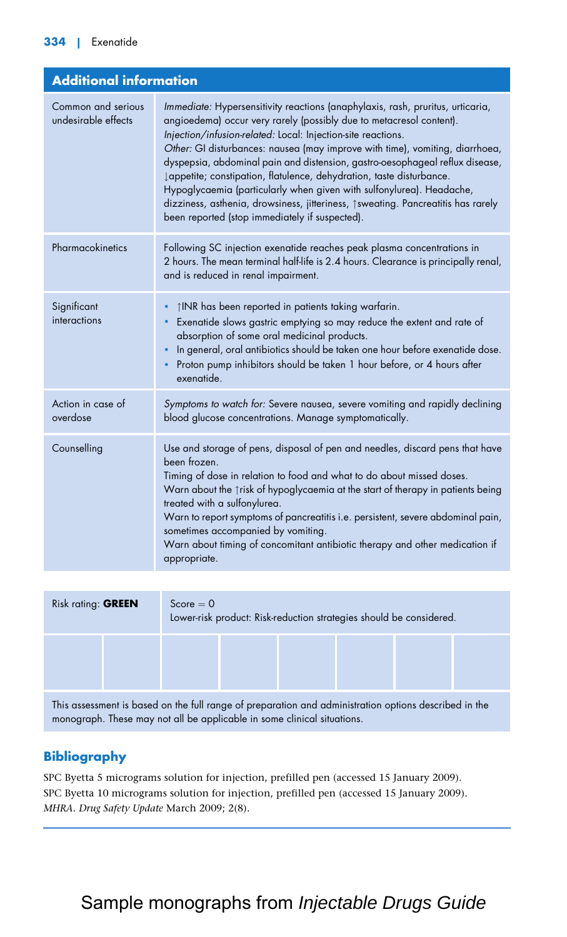| <b>Additional information</b>             |                                                                                                                                                                                                                                                                                                                                                                                                                                                                                                                                                                                                                                                                             |
|-------------------------------------------|-----------------------------------------------------------------------------------------------------------------------------------------------------------------------------------------------------------------------------------------------------------------------------------------------------------------------------------------------------------------------------------------------------------------------------------------------------------------------------------------------------------------------------------------------------------------------------------------------------------------------------------------------------------------------------|
| Common and serious<br>undesirable effects | Immediate: Hypersensitivity reactions (anaphylaxis, rash, pruritus, urticaria,<br>angioedema) occur very rarely (possibly due to metacresol content).<br>Injection/infusion-related: Local: Injection-site reactions.<br>Other: GI disturbances: nausea (may improve with time), vomiting, diarrhoea,<br>dyspepsia, abdominal pain and distension, gastro-oesophageal reflux disease,<br>lappetite; constipation, flatulence, dehydration, taste disturbance.<br>Hypoglycaemia (particularly when given with sulfonylurea). Headache,<br>dizziness, asthenia, drowsiness, jitteriness, 1sweating. Pancreatitis has rarely<br>been reported (stop immediately if suspected). |
| Pharmacokinetics                          | Following SC injection exenatide reaches peak plasma concentrations in<br>2 hours. The mean terminal half-life is 2.4 hours. Clearance is principally renal,<br>and is reduced in renal impairment.                                                                                                                                                                                                                                                                                                                                                                                                                                                                         |
| Significant<br>interactions               | TINR has been reported in patients taking warfarin.<br>Exenatide slows gastric emptying so may reduce the extent and rate of<br>٠<br>absorption of some oral medicinal products.<br>In general, oral antibiotics should be taken one hour before exenatide dose.<br>٠<br>Proton pump inhibitors should be taken 1 hour before, or 4 hours after<br>$\bullet$<br>exenatide.                                                                                                                                                                                                                                                                                                  |
| Action in case of<br>overdose             | Symptoms to watch for: Severe nausea, severe vomiting and rapidly declining<br>blood glucose concentrations. Manage symptomatically.                                                                                                                                                                                                                                                                                                                                                                                                                                                                                                                                        |
| Counselling                               | Use and storage of pens, disposal of pen and needles, discard pens that have<br>been frozen.<br>Timing of dose in relation to food and what to do about missed doses.<br>Warn about the 1risk of hypoglycaemia at the start of therapy in patients being<br>treated with a sulfonylurea.<br>Warn to report symptoms of pancreatitis i.e. persistent, severe abdominal pain,<br>sometimes accompanied by vomiting.<br>Warn about timing of concomitant antibiotic therapy and other medication if<br>appropriate.                                                                                                                                                            |

| Risk rating: GREEN | $Score = 0$ |  | Lower-risk product: Risk-reduction strategies should be considered. |  |
|--------------------|-------------|--|---------------------------------------------------------------------|--|
|                    |             |  |                                                                     |  |

This assessment is based on the full range of preparation and administration options described in the monograph. These may not all be applicable in some clinical situations.

### Bibliography

SPC Byetta 5 micrograms solution for injection, prefilled pen (accessed 15 January 2009). SPC Byetta 10 micrograms solution for injection, prefilled pen (accessed 15 January 2009). MHRA. Drug Safety Update March 2009; 2(8).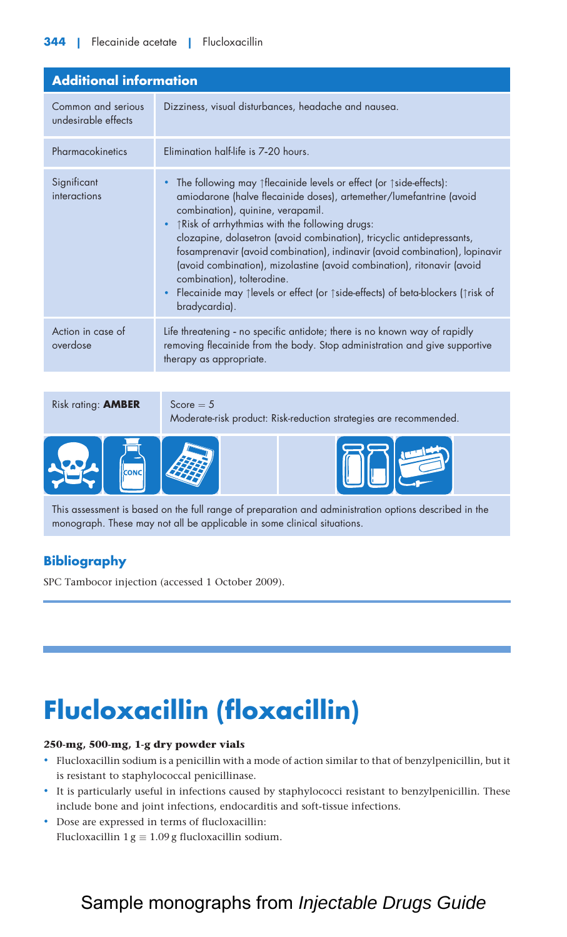| <b>Additional information</b>             |                                                                                                                                                                                                                                                                                                                                                                                                                                                                                                                                                                                                                                    |  |  |  |  |
|-------------------------------------------|------------------------------------------------------------------------------------------------------------------------------------------------------------------------------------------------------------------------------------------------------------------------------------------------------------------------------------------------------------------------------------------------------------------------------------------------------------------------------------------------------------------------------------------------------------------------------------------------------------------------------------|--|--|--|--|
| Common and serious<br>undesirable effects | Dizziness, visual disturbances, headache and nausea.                                                                                                                                                                                                                                                                                                                                                                                                                                                                                                                                                                               |  |  |  |  |
| Pharmacokinetics                          | Elimination half-life is 7-20 hours.                                                                                                                                                                                                                                                                                                                                                                                                                                                                                                                                                                                               |  |  |  |  |
| Significant<br>interactions               | The following may 1 flecainide levels or effect (or 1 side-effects):<br>$\bullet$<br>amiodarone (halve flecainide doses), artemether/lumefantrine (avoid<br>combination), quinine, verapamil.<br>Trisk of arrhythmias with the following drugs:<br>clozapine, dolasetron (avoid combination), tricyclic antidepressants,<br>fosamprenavir (avoid combination), indinavir (avoid combination), lopinavir<br>(avoid combination), mizolastine (avoid combination), ritonavir (avoid<br>combination), tolterodine.<br>Flecainide may 1 levels or effect (or 1 side-effects) of beta-blockers (1 risk of<br>$\bullet$<br>bradycardia). |  |  |  |  |
| Action in case of<br>overdose             | Life threatening - no specific antidote; there is no known way of rapidly<br>removing flecainide from the body. Stop administration and give supportive<br>therapy as appropriate.                                                                                                                                                                                                                                                                                                                                                                                                                                                 |  |  |  |  |
|                                           |                                                                                                                                                                                                                                                                                                                                                                                                                                                                                                                                                                                                                                    |  |  |  |  |
| Risk rating: <b>AMBER</b>                 | $Score = 5$<br>Moderate-risk product: Risk-reduction strategies are recommended.                                                                                                                                                                                                                                                                                                                                                                                                                                                                                                                                                   |  |  |  |  |
| CONC                                      |                                                                                                                                                                                                                                                                                                                                                                                                                                                                                                                                                                                                                                    |  |  |  |  |

This assessment is based on the full range of preparation and administration options described in the monograph. These may not all be applicable in some clinical situations.

### Bibliography

SPC Tambocor injection (accessed 1 October 2009).

# Flucloxacillin (floxacillin)

### 250-mg, 500-mg, 1-g dry powder vials

- \* Flucloxacillin sodium is a penicillin with a mode of action similar to that of benzylpenicillin, but it is resistant to staphylococcal penicillinase.
- \* It is particularly useful in infections caused by staphylococci resistant to benzylpenicillin. These include bone and joint infections, endocarditis and soft-tissue infections.
- \* Dose are expressed in terms of flucloxacillin: Flucloxacillin  $1 g \equiv 1.09 g$  flucloxacillin sodium.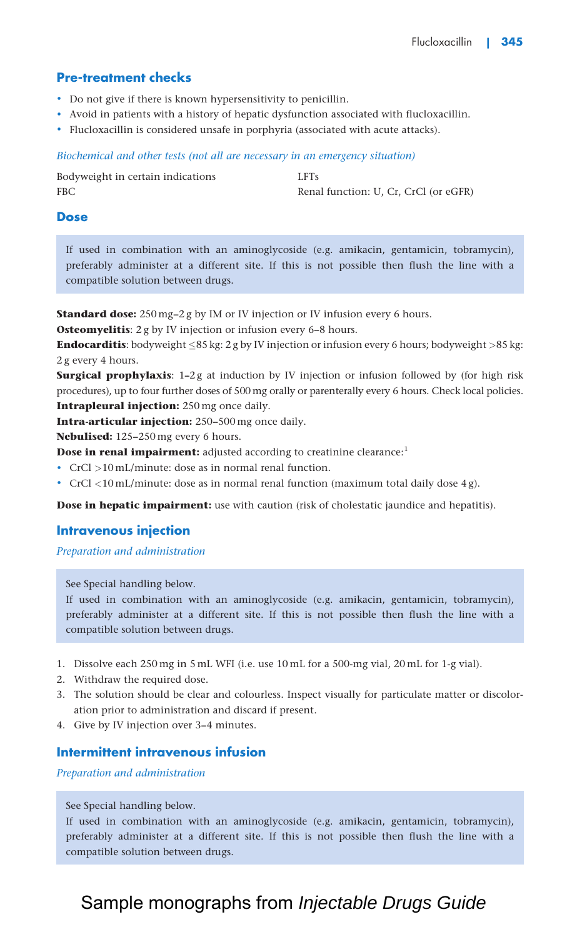### Pre-treatment checks

Bodyweight in certain indications

- \* Do not give if there is known hypersensitivity to penicillin.
- \* Avoid in patients with a history of hepatic dysfunction associated with flucloxacillin.
- \* Flucloxacillin is considered unsafe in porphyria (associated with acute attacks).

#### Biochemical and other tests (not all are necessary in an emergency situation)

LFTs Renal function: U, Cr, CrCl (or eGFR)

### Dose

FBC

If used in combination with an aminoglycoside (e.g. amikacin, gentamicin, tobramycin), preferably administer at a different site. If this is not possible then flush the line with a compatible solution between drugs.

Standard dose: 250 mg-2 g by IM or IV injection or IV infusion every 6 hours.

**Osteomyelitis**: 2 g by IV injection or infusion every 6-8 hours.

**Endocarditis:** bodyweight  $\leq$ 85 kg: 2 g by IV injection or infusion every 6 hours; bodyweight  $>$ 85 kg: 2 g every 4 hours.

**Surgical prophylaxis:**  $1-2g$  at induction by IV injection or infusion followed by (for high risk procedures), up to four further doses of 500mg orally or parenterally every 6 hours. Check local policies. Intrapleural injection: 250 mg once daily.

Intra-articular injection: 250-500 mg once daily.

Nebulised: 125-250 mg every 6 hours.

Dose in renal impairment: adjusted according to creatinine clearance:<sup>1</sup>

- \* CrCl >10 mL/minute: dose as in normal renal function.
- \* CrCl <10 mL/minute: dose as in normal renal function (maximum total daily dose 4 g).

Dose in hepatic impairment: use with caution (risk of cholestatic jaundice and hepatitis).

### Intravenous injection

Preparation and administration

See Special handling below.

If used in combination with an aminoglycoside (e.g. amikacin, gentamicin, tobramycin), preferably administer at a different site. If this is not possible then flush the line with a compatible solution between drugs.

- 1. Dissolve each 250 mg in 5 mL WFI (i.e. use 10 mL for a 500-mg vial, 20 mL for 1-g vial).
- 2. Withdraw the required dose.
- 3. The solution should be clear and colourless. Inspect visually for particulate matter or discoloration prior to administration and discard if present.
- 4. Give by IV injection over 3-4 minutes.

### Intermittent intravenous infusion

Preparation and administration

See Special handling below.

If used in combination with an aminoglycoside (e.g. amikacin, gentamicin, tobramycin), preferably administer at a different site. If this is not possible then flush the line with a compatible solution between drugs.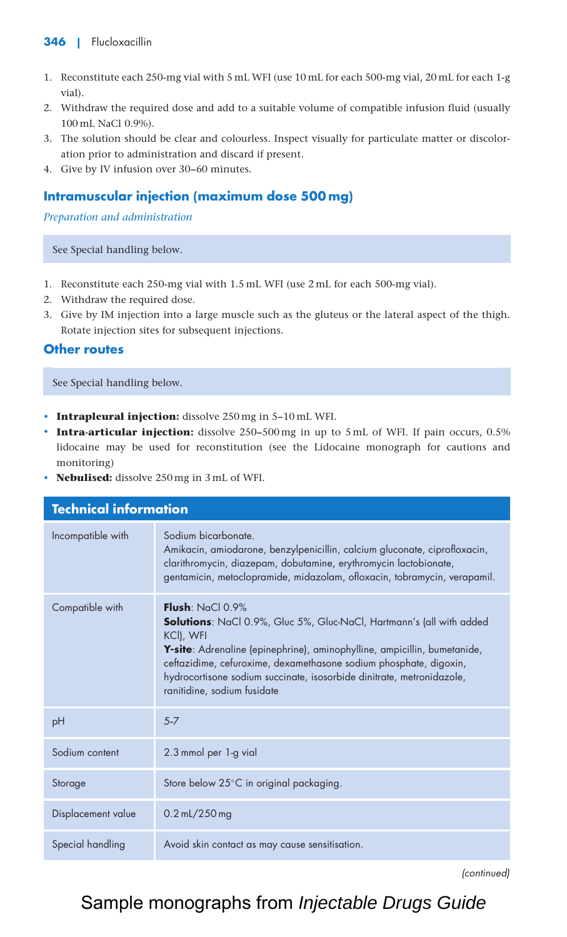- 1. Reconstitute each 250-mg vial with 5 mL WFI (use 10 mL for each 500-mg vial, 20 mL for each 1-g vial).
- 2. Withdraw the required dose and add to a suitable volume of compatible infusion fluid (usually 100 mL NaCl 0.9%).
- 3. The solution should be clear and colourless. Inspect visually for particulate matter or discoloration prior to administration and discard if present.
- 4. Give by IV infusion over 30-60 minutes.

### Intramuscular injection (maximum dose 500 mg)

Preparation and administration

See Special handling below.

- 1. Reconstitute each 250-mg vial with 1.5 mL WFI (use 2 mL for each 500-mg vial).
- 2. Withdraw the required dose.
- 3. Give by IM injection into a large muscle such as the gluteus or the lateral aspect of the thigh. Rotate injection sites for subsequent injections.

### Other routes

See Special handling below.

- Intrapleural injection: dissolve 250 mg in 5-10 mL WFI.
- Intra-articular injection: dissolve 250-500 mg in up to 5 mL of WFI. If pain occurs, 0.5% lidocaine may be used for reconstitution (see the Lidocaine monograph for cautions and monitoring)
- \* Nebulised: dissolve 250 mg in 3 mL of WFI.

| <b>Technical information</b> |                                                                                                                                                                                                                                                                                                                                                                         |  |  |
|------------------------------|-------------------------------------------------------------------------------------------------------------------------------------------------------------------------------------------------------------------------------------------------------------------------------------------------------------------------------------------------------------------------|--|--|
| Incompatible with            | Sodium bicarbonate.<br>Amikacin, amiodarone, benzylpenicillin, calcium gluconate, ciprofloxacin,<br>clarithromycin, diazepam, dobutamine, erythromycin lactobionate,<br>gentamicin, metoclopramide, midazolam, ofloxacin, tobramycin, verapamil.                                                                                                                        |  |  |
| Compatible with              | Flush: $NaCl$ 0.9%<br><b>Solutions:</b> NaCl 0.9%, Gluc 5%, Gluc-NaCl, Hartmann's (all with added<br>KCI), WFI<br>Y-site: Adrenaline (epinephrine), aminophylline, ampicillin, bumetanide,<br>ceftazidime, cefuroxime, dexamethasone sodium phosphate, digoxin,<br>hydrocortisone sodium succinate, isosorbide dinitrate, metronidazole,<br>ranitidine, sodium fusidate |  |  |
| pH                           | $5 - 7$                                                                                                                                                                                                                                                                                                                                                                 |  |  |
| Sodium content               | 2.3 mmol per 1-g vial                                                                                                                                                                                                                                                                                                                                                   |  |  |
| Storage                      | Store below 25°C in original packaging.                                                                                                                                                                                                                                                                                                                                 |  |  |
| Displacement value           | $0.2$ mL/250 mg                                                                                                                                                                                                                                                                                                                                                         |  |  |
| Special handling             | Avoid skin contact as may cause sensitisation.                                                                                                                                                                                                                                                                                                                          |  |  |

(continued)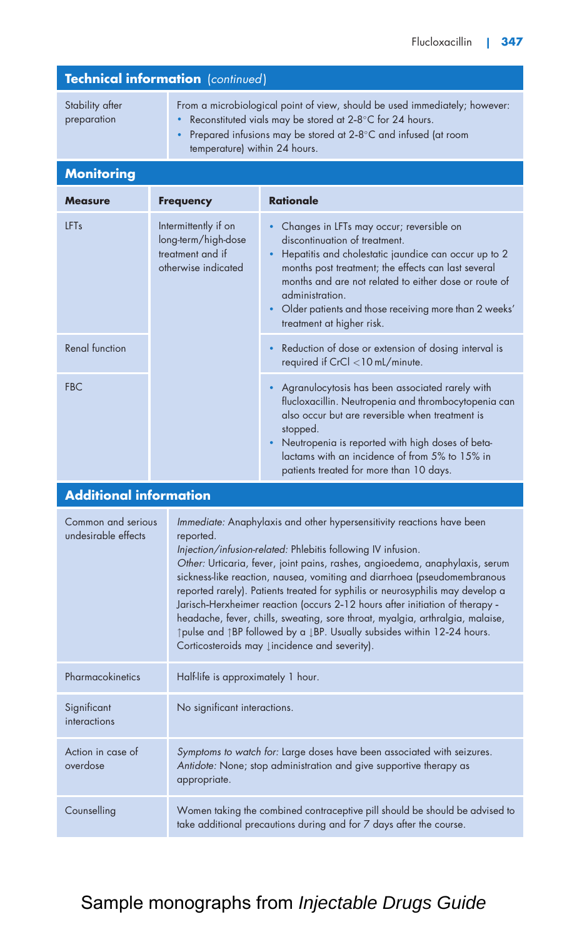| Technical information (continued)         |                                                                                        |                                                                                                                                                                                                                                                                                                                                                                                                                                                                                                                                                                                                                                                                                  |  |  |
|-------------------------------------------|----------------------------------------------------------------------------------------|----------------------------------------------------------------------------------------------------------------------------------------------------------------------------------------------------------------------------------------------------------------------------------------------------------------------------------------------------------------------------------------------------------------------------------------------------------------------------------------------------------------------------------------------------------------------------------------------------------------------------------------------------------------------------------|--|--|
| Stability after<br>preparation            | temperature) within 24 hours.                                                          | From a microbiological point of view, should be used immediately; however:<br>Reconstituted vials may be stored at 2-8°C for 24 hours.<br>Prepared infusions may be stored at 2-8°C and infused (at room                                                                                                                                                                                                                                                                                                                                                                                                                                                                         |  |  |
| <b>Monitoring</b>                         |                                                                                        |                                                                                                                                                                                                                                                                                                                                                                                                                                                                                                                                                                                                                                                                                  |  |  |
| <b>Measure</b>                            | <b>Frequency</b>                                                                       | <b>Rationale</b>                                                                                                                                                                                                                                                                                                                                                                                                                                                                                                                                                                                                                                                                 |  |  |
| <b>LFT<sub>s</sub></b>                    | Intermittently if on<br>long-term/high-dose<br>treatment and if<br>otherwise indicated | Changes in LFTs may occur; reversible on<br>discontinuation of treatment.<br>• Hepatitis and cholestatic jaundice can occur up to 2<br>months post treatment; the effects can last several<br>months and are not related to either dose or route of<br>administration.<br>• Older patients and those receiving more than 2 weeks'<br>treatment at higher risk.                                                                                                                                                                                                                                                                                                                   |  |  |
| Renal function                            |                                                                                        | Reduction of dose or extension of dosing interval is<br>required if CrCl <10 mL/minute.                                                                                                                                                                                                                                                                                                                                                                                                                                                                                                                                                                                          |  |  |
| <b>FBC</b>                                |                                                                                        | • Agranulocytosis has been associated rarely with<br>flucloxacillin. Neutropenia and thrombocytopenia can<br>also occur but are reversible when treatment is<br>stopped.<br>Neutropenia is reported with high doses of beta-<br>lactams with an incidence of from 5% to 15% in<br>patients treated for more than 10 days.                                                                                                                                                                                                                                                                                                                                                        |  |  |
| <b>Additional information</b>             |                                                                                        |                                                                                                                                                                                                                                                                                                                                                                                                                                                                                                                                                                                                                                                                                  |  |  |
| Common and serious<br>undesirable effects | reported.                                                                              | Immediate: Anaphylaxis and other hypersensitivity reactions have been<br>Injection/infusion-related: Phlebitis following IV infusion.<br>Other: Urticaria, fever, joint pains, rashes, angioedema, anaphylaxis, serum<br>sickness-like reaction, nausea, vomiting and diarrhoea (pseudomembranous<br>reported rarely). Patients treated for syphilis or neurosyphilis may develop a<br>Jarisch-Herxheimer reaction (occurs 2-12 hours after initiation of therapy -<br>headache, fever, chills, sweating, sore throat, myalgia, arthralgia, malaise,<br>î pulse and ↑BP followed by a ↓BP. Usually subsides within 12-24 hours.<br>Corticosteroids may lincidence and severity). |  |  |
| Pharmacokinetics                          |                                                                                        | Half-life is approximately 1 hour.                                                                                                                                                                                                                                                                                                                                                                                                                                                                                                                                                                                                                                               |  |  |
| Significant<br>interactions               |                                                                                        | No significant interactions.                                                                                                                                                                                                                                                                                                                                                                                                                                                                                                                                                                                                                                                     |  |  |
| Action in case of<br>overdose             | appropriate.                                                                           | Symptoms to watch for: Large doses have been associated with seizures.<br>Antidote: None; stop administration and give supportive therapy as                                                                                                                                                                                                                                                                                                                                                                                                                                                                                                                                     |  |  |
| Counselling                               |                                                                                        | Women taking the combined contraceptive pill should be should be advised to<br>take additional precautions during and for 7 days after the course.                                                                                                                                                                                                                                                                                                                                                                                                                                                                                                                               |  |  |